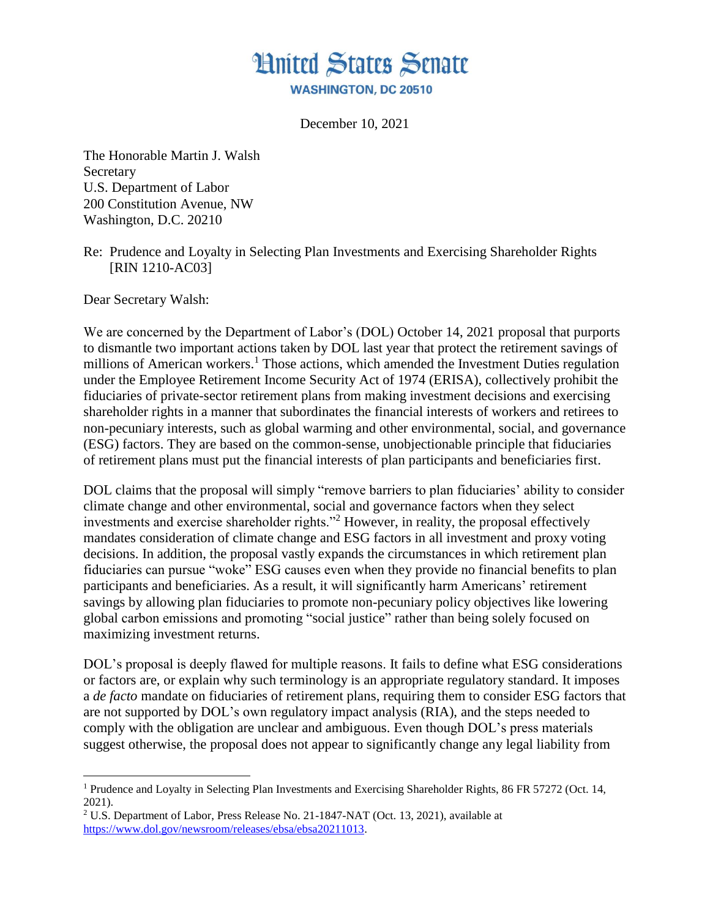

December 10, 2021

The Honorable Martin J. Walsh Secretary U.S. Department of Labor 200 Constitution Avenue, NW Washington, D.C. 20210

Re: Prudence and Loyalty in Selecting Plan Investments and Exercising Shareholder Rights [RIN 1210-AC03]

Dear Secretary Walsh:

 $\overline{a}$ 

We are concerned by the Department of Labor's (DOL) October 14, 2021 proposal that purports to dismantle two important actions taken by DOL last year that protect the retirement savings of millions of American workers.<sup>1</sup> Those actions, which amended the Investment Duties regulation under the Employee Retirement Income Security Act of 1974 (ERISA), collectively prohibit the fiduciaries of private-sector retirement plans from making investment decisions and exercising shareholder rights in a manner that subordinates the financial interests of workers and retirees to non-pecuniary interests, such as global warming and other environmental, social, and governance (ESG) factors. They are based on the common-sense, unobjectionable principle that fiduciaries of retirement plans must put the financial interests of plan participants and beneficiaries first.

DOL claims that the proposal will simply "remove barriers to plan fiduciaries' ability to consider climate change and other environmental, social and governance factors when they select investments and exercise shareholder rights."<sup>2</sup> However, in reality, the proposal effectively mandates consideration of climate change and ESG factors in all investment and proxy voting decisions. In addition, the proposal vastly expands the circumstances in which retirement plan fiduciaries can pursue "woke" ESG causes even when they provide no financial benefits to plan participants and beneficiaries. As a result, it will significantly harm Americans' retirement savings by allowing plan fiduciaries to promote non-pecuniary policy objectives like lowering global carbon emissions and promoting "social justice" rather than being solely focused on maximizing investment returns.

DOL's proposal is deeply flawed for multiple reasons. It fails to define what ESG considerations or factors are, or explain why such terminology is an appropriate regulatory standard. It imposes a *de facto* mandate on fiduciaries of retirement plans, requiring them to consider ESG factors that are not supported by DOL's own regulatory impact analysis (RIA), and the steps needed to comply with the obligation are unclear and ambiguous. Even though DOL's press materials suggest otherwise, the proposal does not appear to significantly change any legal liability from

<sup>&</sup>lt;sup>1</sup> Prudence and Loyalty in Selecting Plan Investments and Exercising Shareholder Rights, 86 FR 57272 (Oct. 14, 2021).

<sup>2</sup> U.S. Department of Labor, Press Release No. 21-1847-NAT (Oct. 13, 2021), available at [https://www.dol.gov/newsroom/releases/ebsa/ebsa20211013.](https://www.dol.gov/newsroom/releases/ebsa/ebsa20211013)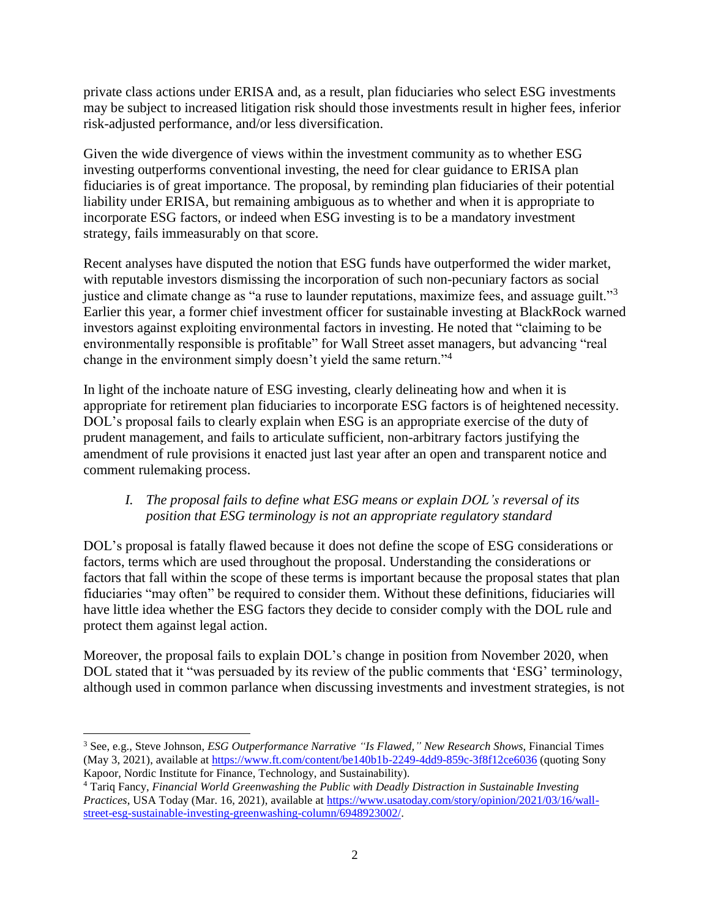private class actions under ERISA and, as a result, plan fiduciaries who select ESG investments may be subject to increased litigation risk should those investments result in higher fees, inferior risk-adjusted performance, and/or less diversification.

Given the wide divergence of views within the investment community as to whether ESG investing outperforms conventional investing, the need for clear guidance to ERISA plan fiduciaries is of great importance. The proposal, by reminding plan fiduciaries of their potential liability under ERISA, but remaining ambiguous as to whether and when it is appropriate to incorporate ESG factors, or indeed when ESG investing is to be a mandatory investment strategy, fails immeasurably on that score.

Recent analyses have disputed the notion that ESG funds have outperformed the wider market, with reputable investors dismissing the incorporation of such non-pecuniary factors as social justice and climate change as "a ruse to launder reputations, maximize fees, and assuage guilt."<sup>3</sup> Earlier this year, a former chief investment officer for sustainable investing at BlackRock warned investors against exploiting environmental factors in investing. He noted that "claiming to be environmentally responsible is profitable" for Wall Street asset managers, but advancing "real change in the environment simply doesn't yield the same return."<sup>4</sup>

In light of the inchoate nature of ESG investing, clearly delineating how and when it is appropriate for retirement plan fiduciaries to incorporate ESG factors is of heightened necessity. DOL's proposal fails to clearly explain when ESG is an appropriate exercise of the duty of prudent management, and fails to articulate sufficient, non-arbitrary factors justifying the amendment of rule provisions it enacted just last year after an open and transparent notice and comment rulemaking process.

## *I. The proposal fails to define what ESG means or explain DOL's reversal of its position that ESG terminology is not an appropriate regulatory standard*

DOL's proposal is fatally flawed because it does not define the scope of ESG considerations or factors, terms which are used throughout the proposal. Understanding the considerations or factors that fall within the scope of these terms is important because the proposal states that plan fiduciaries "may often" be required to consider them. Without these definitions, fiduciaries will have little idea whether the ESG factors they decide to consider comply with the DOL rule and protect them against legal action.

Moreover, the proposal fails to explain DOL's change in position from November 2020, when DOL stated that it "was persuaded by its review of the public comments that 'ESG' terminology, although used in common parlance when discussing investments and investment strategies, is not

 $\overline{\phantom{a}}$ <sup>3</sup> See, e.g., Steve Johnson, *ESG Outperformance Narrative "Is Flawed," New Research Shows*, Financial Times (May 3, 2021), available at<https://www.ft.com/content/be140b1b-2249-4dd9-859c-3f8f12ce6036> (quoting Sony Kapoor, Nordic Institute for Finance, Technology, and Sustainability).

<sup>4</sup> Tariq Fancy, *Financial World Greenwashing the Public with Deadly Distraction in Sustainable Investing Practices*, USA Today (Mar. 16, 2021), available at [https://www.usatoday.com/story/opinion/2021/03/16/wall](https://www.usatoday.com/story/opinion/2021/03/16/wall-street-esg-sustainable-investing-greenwashing-column/6948923002/)[street-esg-sustainable-investing-greenwashing-column/6948923002/.](https://www.usatoday.com/story/opinion/2021/03/16/wall-street-esg-sustainable-investing-greenwashing-column/6948923002/)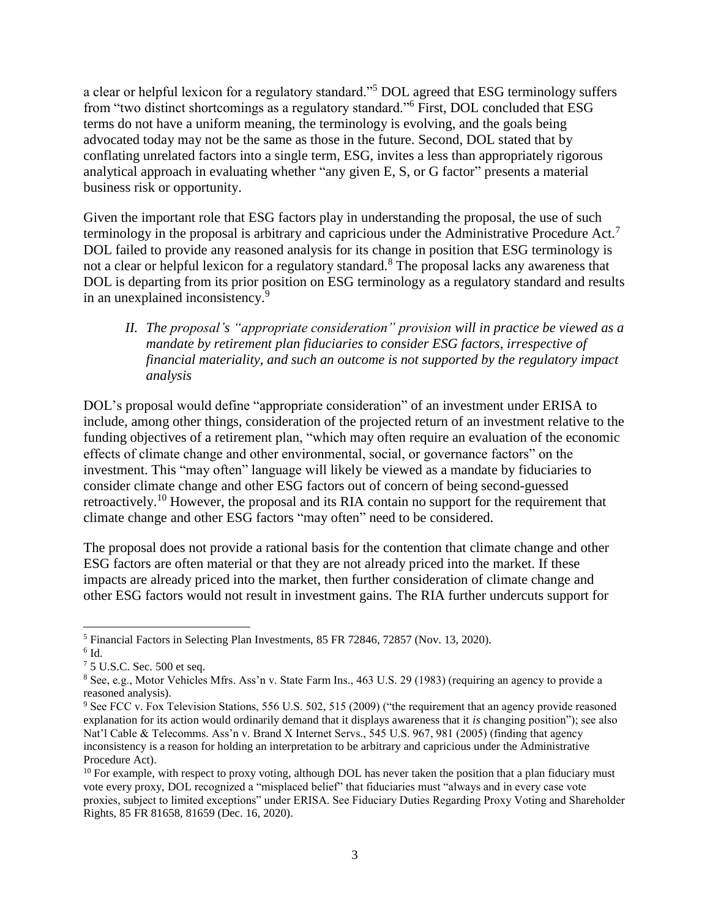a clear or helpful lexicon for a regulatory standard."<sup>5</sup> DOL agreed that ESG terminology suffers from "two distinct shortcomings as a regulatory standard."<sup>6</sup> First, DOL concluded that ESG terms do not have a uniform meaning, the terminology is evolving, and the goals being advocated today may not be the same as those in the future. Second, DOL stated that by conflating unrelated factors into a single term, ESG, invites a less than appropriately rigorous analytical approach in evaluating whether "any given E, S, or G factor" presents a material business risk or opportunity.

Given the important role that ESG factors play in understanding the proposal, the use of such terminology in the proposal is arbitrary and capricious under the Administrative Procedure Act.<sup>7</sup> DOL failed to provide any reasoned analysis for its change in position that ESG terminology is not a clear or helpful lexicon for a regulatory standard.<sup>8</sup> The proposal lacks any awareness that DOL is departing from its prior position on ESG terminology as a regulatory standard and results in an unexplained inconsistency.<sup>9</sup>

*II. The proposal's "appropriate consideration" provision will in practice be viewed as a mandate by retirement plan fiduciaries to consider ESG factors, irrespective of financial materiality, and such an outcome is not supported by the regulatory impact analysis*

DOL's proposal would define "appropriate consideration" of an investment under ERISA to include, among other things, consideration of the projected return of an investment relative to the funding objectives of a retirement plan, "which may often require an evaluation of the economic effects of climate change and other environmental, social, or governance factors" on the investment. This "may often" language will likely be viewed as a mandate by fiduciaries to consider climate change and other ESG factors out of concern of being second-guessed retroactively.<sup>10</sup> However, the proposal and its RIA contain no support for the requirement that climate change and other ESG factors "may often" need to be considered.

The proposal does not provide a rational basis for the contention that climate change and other ESG factors are often material or that they are not already priced into the market. If these impacts are already priced into the market, then further consideration of climate change and other ESG factors would not result in investment gains. The RIA further undercuts support for

 $\overline{\phantom{a}}$ <sup>5</sup> Financial Factors in Selecting Plan Investments, 85 FR 72846, 72857 (Nov. 13, 2020).

 $6$  Id.

<sup>7</sup> 5 U.S.C. Sec. 500 et seq.

<sup>&</sup>lt;sup>8</sup> See, e.g., Motor Vehicles Mfrs. Ass'n v. State Farm Ins., 463 U.S. 29 (1983) (requiring an agency to provide a reasoned analysis).

<sup>9</sup> See FCC v. Fox Television Stations, 556 U.S. 502, 515 (2009) ("the requirement that an agency provide reasoned explanation for its action would ordinarily demand that it displays awareness that it *is* changing position"); see also Nat'l Cable & Telecomms. Ass'n v. Brand X Internet Servs., 545 U.S. 967, 981 (2005) (finding that agency inconsistency is a reason for holding an interpretation to be arbitrary and capricious under the Administrative Procedure Act).

 $10$  For example, with respect to proxy voting, although DOL has never taken the position that a plan fiduciary must vote every proxy, DOL recognized a "misplaced belief" that fiduciaries must "always and in every case vote proxies, subject to limited exceptions" under ERISA. See Fiduciary Duties Regarding Proxy Voting and Shareholder Rights, 85 FR 81658, 81659 (Dec. 16, 2020).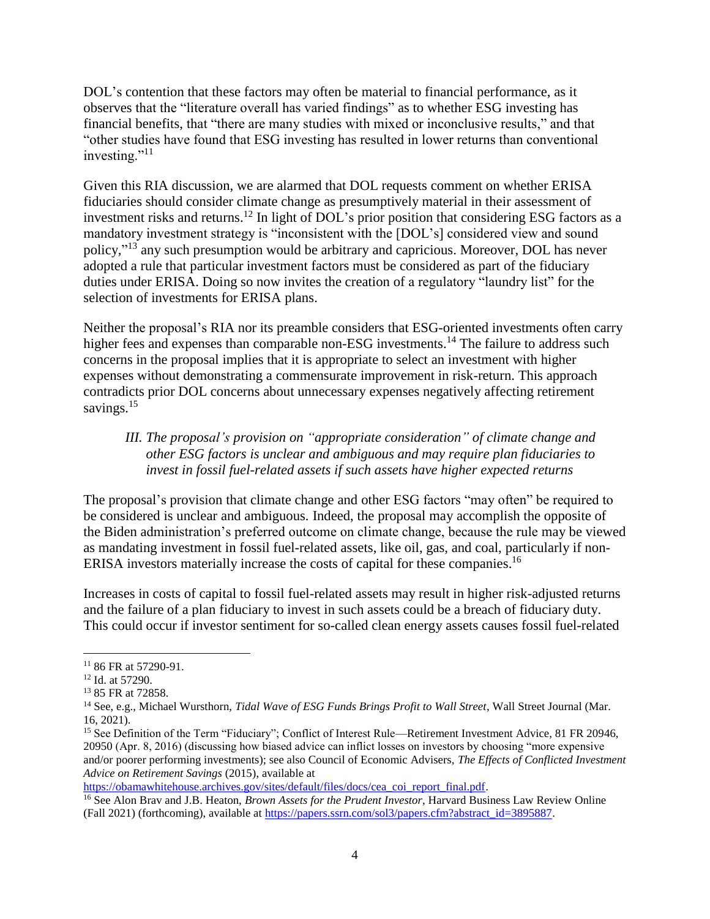DOL's contention that these factors may often be material to financial performance, as it observes that the "literature overall has varied findings" as to whether ESG investing has financial benefits, that "there are many studies with mixed or inconclusive results," and that "other studies have found that ESG investing has resulted in lower returns than conventional investing." $^{11}$ 

Given this RIA discussion, we are alarmed that DOL requests comment on whether ERISA fiduciaries should consider climate change as presumptively material in their assessment of investment risks and returns.<sup>12</sup> In light of DOL's prior position that considering ESG factors as a mandatory investment strategy is "inconsistent with the [DOL's] considered view and sound policy,"<sup>13</sup> any such presumption would be arbitrary and capricious. Moreover, DOL has never adopted a rule that particular investment factors must be considered as part of the fiduciary duties under ERISA. Doing so now invites the creation of a regulatory "laundry list" for the selection of investments for ERISA plans.

Neither the proposal's RIA nor its preamble considers that ESG-oriented investments often carry higher fees and expenses than comparable non-ESG investments.<sup>14</sup> The failure to address such concerns in the proposal implies that it is appropriate to select an investment with higher expenses without demonstrating a commensurate improvement in risk-return. This approach contradicts prior DOL concerns about unnecessary expenses negatively affecting retirement savings.<sup>15</sup>

## *III. The proposal's provision on "appropriate consideration" of climate change and other ESG factors is unclear and ambiguous and may require plan fiduciaries to invest in fossil fuel-related assets if such assets have higher expected returns*

The proposal's provision that climate change and other ESG factors "may often" be required to be considered is unclear and ambiguous. Indeed, the proposal may accomplish the opposite of the Biden administration's preferred outcome on climate change, because the rule may be viewed as mandating investment in fossil fuel-related assets, like oil, gas, and coal, particularly if non-ERISA investors materially increase the costs of capital for these companies.<sup>16</sup>

Increases in costs of capital to fossil fuel-related assets may result in higher risk-adjusted returns and the failure of a plan fiduciary to invest in such assets could be a breach of fiduciary duty. This could occur if investor sentiment for so-called clean energy assets causes fossil fuel-related

 $\overline{\phantom{a}}$ 

[https://obamawhitehouse.archives.gov/sites/default/files/docs/cea\\_coi\\_report\\_final.pdf.](https://obamawhitehouse.archives.gov/sites/default/files/docs/cea_coi_report_final.pdf)

 $1186$  FR at 57290-91.

<sup>12</sup> Id. at 57290.

<sup>13</sup> 85 FR at 72858.

<sup>14</sup> See, e.g., Michael Wursthorn, *Tidal Wave of ESG Funds Brings Profit to Wall Street*, Wall Street Journal (Mar. 16, 2021).

<sup>&</sup>lt;sup>15</sup> See Definition of the Term "Fiduciary"; Conflict of Interest Rule—Retirement Investment Advice, 81 FR 20946, 20950 (Apr. 8, 2016) (discussing how biased advice can inflict losses on investors by choosing "more expensive and/or poorer performing investments); see also Council of Economic Advisers, *The Effects of Conflicted Investment Advice on Retirement Savings* (2015), available at

<sup>16</sup> See Alon Brav and J.B. Heaton, *Brown Assets for the Prudent Investor*, Harvard Business Law Review Online (Fall 2021) (forthcoming), available at [https://papers.ssrn.com/sol3/papers.cfm?abstract\\_id=3895887.](https://papers.ssrn.com/sol3/papers.cfm?abstract_id=3895887)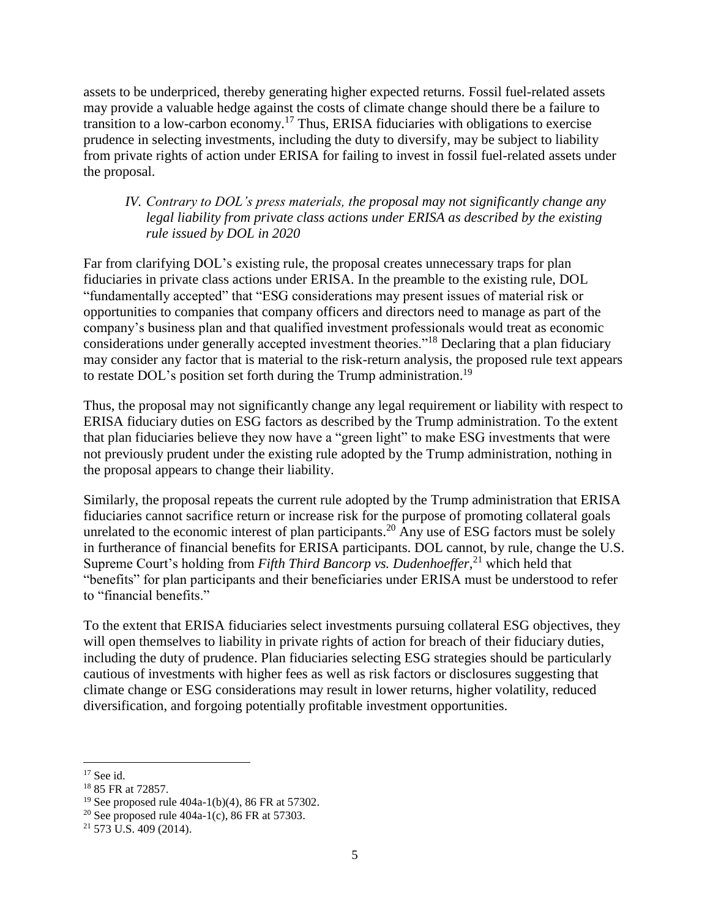assets to be underpriced, thereby generating higher expected returns. Fossil fuel-related assets may provide a valuable hedge against the costs of climate change should there be a failure to transition to a low-carbon economy.<sup>17</sup> Thus, ERISA fiduciaries with obligations to exercise prudence in selecting investments, including the duty to diversify, may be subject to liability from private rights of action under ERISA for failing to invest in fossil fuel-related assets under the proposal.

## *IV. Contrary to DOL's press materials, the proposal may not significantly change any legal liability from private class actions under ERISA as described by the existing rule issued by DOL in 2020*

Far from clarifying DOL's existing rule, the proposal creates unnecessary traps for plan fiduciaries in private class actions under ERISA. In the preamble to the existing rule, DOL "fundamentally accepted" that "ESG considerations may present issues of material risk or opportunities to companies that company officers and directors need to manage as part of the company's business plan and that qualified investment professionals would treat as economic considerations under generally accepted investment theories."<sup>18</sup> Declaring that a plan fiduciary may consider any factor that is material to the risk-return analysis, the proposed rule text appears to restate DOL's position set forth during the Trump administration.<sup>19</sup>

Thus, the proposal may not significantly change any legal requirement or liability with respect to ERISA fiduciary duties on ESG factors as described by the Trump administration. To the extent that plan fiduciaries believe they now have a "green light" to make ESG investments that were not previously prudent under the existing rule adopted by the Trump administration, nothing in the proposal appears to change their liability.

Similarly, the proposal repeats the current rule adopted by the Trump administration that ERISA fiduciaries cannot sacrifice return or increase risk for the purpose of promoting collateral goals unrelated to the economic interest of plan participants.<sup>20</sup> Any use of ESG factors must be solely in furtherance of financial benefits for ERISA participants. DOL cannot, by rule, change the U.S. Supreme Court's holding from *Fifth Third Bancorp vs. Dudenhoeffer*, <sup>21</sup> which held that "benefits" for plan participants and their beneficiaries under ERISA must be understood to refer to "financial benefits."

To the extent that ERISA fiduciaries select investments pursuing collateral ESG objectives, they will open themselves to liability in private rights of action for breach of their fiduciary duties, including the duty of prudence. Plan fiduciaries selecting ESG strategies should be particularly cautious of investments with higher fees as well as risk factors or disclosures suggesting that climate change or ESG considerations may result in lower returns, higher volatility, reduced diversification, and forgoing potentially profitable investment opportunities.

l

 $17$  See id.

<sup>18</sup> 85 FR at 72857.

<sup>&</sup>lt;sup>19</sup> See proposed rule  $404a-1(b)(4)$ , 86 FR at 57302.

<sup>&</sup>lt;sup>20</sup> See proposed rule 404a-1(c), 86 FR at 57303.

<sup>21</sup> 573 U.S. 409 (2014).